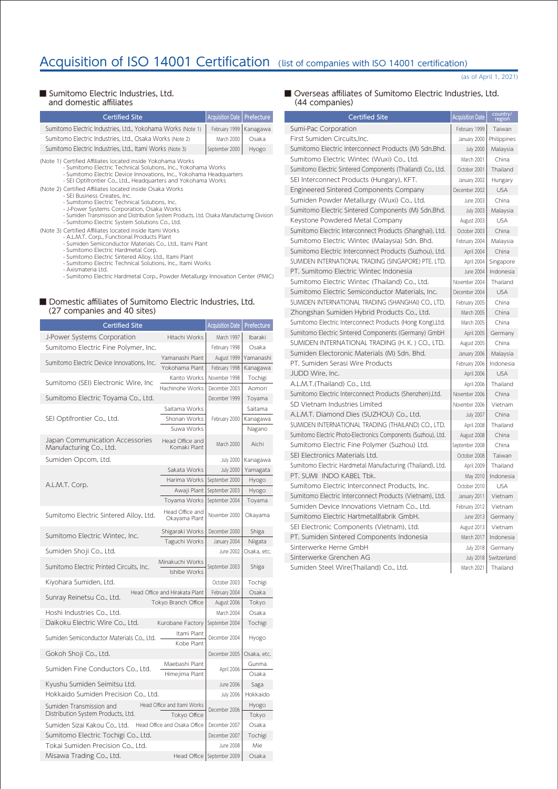# Acquisition of ISO 14001 Certification (list of companies with ISO 14001 certification)

(as of April 1, 2021)

#### ■ Sumitomo Electric Industries, Ltd. and domestic affiliates

| <b>Certified Site</b>                                                                                                                                                                                                                                                                                                                                                                                                                                                                                                                                                                                           | <b>Acquisition Date</b> | Prefecture |
|-----------------------------------------------------------------------------------------------------------------------------------------------------------------------------------------------------------------------------------------------------------------------------------------------------------------------------------------------------------------------------------------------------------------------------------------------------------------------------------------------------------------------------------------------------------------------------------------------------------------|-------------------------|------------|
| Sumitomo Electric Industries, Ltd., Yokohama Works (Note 1)                                                                                                                                                                                                                                                                                                                                                                                                                                                                                                                                                     | February 1999           | Kanagawa   |
| Sumitomo Electric Industries. Ltd., Osaka Works (Note 2)                                                                                                                                                                                                                                                                                                                                                                                                                                                                                                                                                        | March 2000              | Osaka      |
| Sumitomo Electric Industries, Ltd., Itami Works (Note 3)                                                                                                                                                                                                                                                                                                                                                                                                                                                                                                                                                        | September 2000          | Hyogo      |
| (Note 1) Certified Affiliates located inside Yokohama Works<br>- Sumitomo Electric Technical Solutions, Inc., Yokohama Works<br>- Sumitomo Electric Device Innovations, Inc., Yokohama Headquarters<br>- SEI Optifrontier Co., Ltd., Headquarters and Yokohama Works<br>(Note 2) Certified Affiliates located inside Osaka Works<br>- SEI Business Creates, Inc.<br>- Sumitomo Electric Technical Solutions, Inc.<br>- J-Power Systems Corporation, Osaka Works<br>- Sumiden Transmission and Distribution System Products, Ltd. Osaka Manufacturing Division<br>- Sumitomo Electric System Solutions Co., Ltd. |                         |            |
| (Note 3) Certified Affiliates located inside Itami Works<br>- A.L.M.T. Corp., Functional Products Plant<br>- Sumiden Semiconductor Materials Co., Ltd., Itami Plant<br>- Sumitomo Electric Hardmetal Corp.<br>- Sumitomo Electric Sintered Alloy, Ltd., Itami Plant<br>- Sumitomo Electric Technical Solutions, Inc., Itami Works<br>Aviennetorio Ital                                                                                                                                                                                                                                                          |                         |            |

- Axismateria Ltd. - Sumitomo Electric Hardmetal Corp., Powder Metallurgy Innovation Center (PMIC)

#### ■ Domestic affiliates of Sumitomo Electric Industries, Ltd. (27 companies and 40 sites)

| <b>Certified Site</b>                                      |                                  | <b>Acquisition Date</b> | Prefecture  |
|------------------------------------------------------------|----------------------------------|-------------------------|-------------|
| J-Power Systems Corporation                                | Hitachi Works                    | March 1997              | Ibaraki     |
| Sumitomo Electric Fine Polymer, Inc.                       |                                  | February 1998           | Osaka       |
| Sumitomo Electric Device Innovations, Inc.                 | Yamanashi Plant                  | August 1999             | Yamanashi   |
|                                                            | Yokohama Plant                   | February 1998           | Kanagawa    |
| Sumitomo (SEI) Electronic Wire, Inc.                       | Kanto Works                      | November 1998           | Tochigi     |
|                                                            | Hachinohe Works                  | December 2003           | Aomori      |
| Sumitomo Electric Toyama Co., Ltd.                         |                                  | December 1999           | Toyama      |
|                                                            | Saitama Works                    |                         | Saitama     |
| SEI Optifrontier Co., Ltd.                                 | Shonan Works                     | February 2000           | Kanagawa    |
|                                                            | Suwa Works                       |                         | Nagano      |
| Japan Communication Accessories<br>Manufacturing Co., Ltd. | Head Office and<br>Komaki Plant  | March 2000              | Aichi       |
| Sumiden Opcom, Ltd.                                        |                                  | <b>July 2000</b>        | Kanagawa    |
|                                                            | Sakata Works                     | <b>July 2000</b>        | Yamagata    |
| A.L.M.T. Corp.                                             | Harima Works                     | September 2000          | Hyogo       |
|                                                            | Awaji Plant                      | September 2003          | Hyogo       |
|                                                            | Toyama Works                     | September 2004          | Toyama      |
| Sumitomo Electric Sintered Alloy, Ltd.                     | Head Office and<br>Okayama Plant | November 2000           | Okayama     |
| Sumitomo Electric Wintec, Inc.                             | Shigaraki Works                  | December 2000           | Shiga       |
|                                                            | Taguchi Works                    | January 2004            | Niigata     |
| Sumiden Shoji Co., Ltd.                                    |                                  | June 2002               | Osaka, etc. |
| Sumitomo Electric Printed Circuits, Inc.                   | Minakuchi Works<br>Ishibe Works  | September 2003          | Shiga       |
| Kiyohara Sumiden, Ltd.                                     |                                  | October 2003            | Tochigi     |
| Sunray Reinetsu Co., Ltd.                                  | Head Office and Hirakata Plant   | February 2004           | Osaka       |
|                                                            | Tokyo Branch Office              | August 2006             | Tokyo       |
| Hoshi Industries Co., Ltd.                                 |                                  | March 2004              | Osaka       |
| Daikoku Electric Wire Co., Ltd.                            | Kurobane Factory                 | September 2004          | Tochigi     |
| Sumiden Semiconductor Materials Co., Ltd.                  | Itami Plant<br>Kobe Plant        | December 2004           | Hyogo       |
| Gokoh Shoji Co., Ltd.                                      |                                  | December 2005           | Osaka, etc. |
| Sumiden Fine Conductors Co., Ltd.                          | Maebashi Plant                   | April 2006              | Gunma       |
|                                                            | Himejima Plant                   |                         | Osaka       |
| Kyushu Sumiden Seimitsu Ltd.                               |                                  | June 2006               | Saga        |
| Hokkaido Sumiden Precision Co., Ltd.                       |                                  | <b>July 2006</b>        | Hokkaido    |
| Head Office and Itami Works<br>Sumiden Transmission and    |                                  | December 2006           | Hyogo       |
| Distribution System Products, Ltd.                         | Tokyo Office                     |                         | Tokyo       |
| Sumiden Sizai Kakou Co., Ltd. Head Office and Osaka Office |                                  | December 2007           | Osaka       |
| Sumitomo Electric Tochigi Co., Ltd.                        |                                  | December 2007           | Tochigi     |
| Tokai Sumiden Precision Co., Ltd.                          |                                  | June 2008               | Mie         |
| Misawa Trading Co., Ltd.                                   | Head Office                      | September 2009          | Osaka       |

#### ■ Overseas affiliates of Sumitomo Electric Industries, Ltd. (44 companies)

| <b>Certified Site</b>                                         | <b>Acquisition Date</b> | country<br>region |
|---------------------------------------------------------------|-------------------------|-------------------|
| Sumi-Pac Corporation                                          | February 1999           | Taiwan            |
| First Sumiden Circuits.Inc.                                   | January 2000            | Philippines       |
| Sumitomo Electric Interconnect Products (M) Sdn.Bhd.          | <b>July 2000</b>        | Malaysia          |
| Sumitomo Electric Wintec (Wuxi) Co., Ltd.                     | March 2001              | China             |
| Sumitomo Electric Sintered Components (Thailand) Co., Ltd.    | October 2001            | Thailand          |
| SEI Interconnect Products (Hungary), KFT.                     | January 2002            | Hungary           |
| Engineered Sintered Components Company                        | December 2002           | <b>USA</b>        |
| Sumiden Powder Metallurgy (Wuxi) Co., Ltd.                    | June 2003               | China             |
| Sumitomo Electric Sintered Components (M) Sdn.Bhd.            | <b>July 2003</b>        | Malaysia          |
| Keystone Powdered Metal Company                               | August 2003             | <b>USA</b>        |
| Sumitomo Electric Interconnect Products (Shanghai), Ltd.      | October 2003            | China             |
| Sumitomo Electric Wintec (Malaysia) Sdn. Bhd.                 | February 2004           | Malaysia          |
| Sumitomo Electric Interconnect Products (Suzhou), Ltd.        | April 2004              | China             |
| SUMIDEN INTERNATIONAL TRADING (SINGAPORE) PTE. LTD.           | April 2004              | Singapore         |
| PT. Sumitomo Electric Wintec Indonesia                        | June 2004               | Indonesia         |
| Sumitomo Electric Wintec (Thailand) Co., Ltd.                 | November 2004           | Thailand          |
| Sumitomo Electric Semiconductor Materials, Inc.               | December 2004           | <b>USA</b>        |
| SUMIDEN INTERNATIONAL TRADING (SHANGHAI) CO., LTD.            | February 2005           | China             |
| Zhongshan Sumiden Hybrid Products Co., Ltd.                   | March 2005              | China             |
| Sumitomo Electric Interconnect Products (Hong Kong), Ltd.     | March 2005              | China             |
| Sumitomo Electric Sintered Components (Germany) GmbH          | April 2005              | Germany           |
| SUMIDEN INTERNATIONAL TRADING (H. K.) CO., LTD.               | August 2005             | China             |
| Sumiden Electoronic Materials (M) Sdn. Bhd.                   | January 2006            | Malaysia          |
| PT. Sumiden Serasi Wire Products                              | February 2006           | Indonesia         |
| JUDD Wire, Inc.                                               | April 2006              | <b>USA</b>        |
| A.L.M.T. (Thailand) Co., Ltd.                                 | April 2006              | Thailand          |
| Sumitomo Electric Interconnect Products (Shenzhen),Ltd.       | November 2006           | China             |
| SD Vietnam Industries Limited                                 | November 2006           | Vietnam           |
| A.L.M.T. Diamond Dies (SUZHOU) Co., Ltd.                      | <b>July 2007</b>        | China             |
| SUMIDEN INTERNATIONAL TRADING (THAILAND) CO., LTD.            | April 2008              | Thailand          |
| Sumitomo Electric Photo-Electronics Components (Suzhou), Ltd. | August 2008             | China             |
| Sumitomo Electric Fine Polymer (Suzhou) Ltd.                  | September 2008          | China             |
| SEL Electronics Materials Ltd.                                | October 2008            | Taiwan            |
| Sumitomo Electric Hardmetal Manufacturing (Thailand), Ltd.    | April 2009              | Thailand          |
| PT. SUMI INDO KABEL Tbk.                                      | May 2010                | Indonesia         |
| Sumitomo Electric Interconnect Products, Inc.                 | October 2010            | <b>USA</b>        |
| Sumitomo Electric Interconnect Products (Vietnam), Ltd.       | January 2011            | Vietnam           |
| Sumiden Device Innovations Vietnam Co., Ltd.                  | February 2012           | Vietnam           |
| Sumitomo Electric Hartmetallfabrik GmbH.                      | June 2013               | Germany           |
| SEI Electronic Components (Vietnam), Ltd.                     | August 2013             | Vietnam           |
| PT. Sumiden Sintered Components Indonesia                     | March 2017              | Indonesia         |
| Sinterwerke Herne GmbH                                        | <b>July 2018</b>        | Germany           |
| Sinterwerke Grenchen AG                                       | <b>July 2018</b>        | Switzerland       |
| Sumiden Steel Wire(Thailand) Co., Ltd.                        | March 2021              | Thailand          |